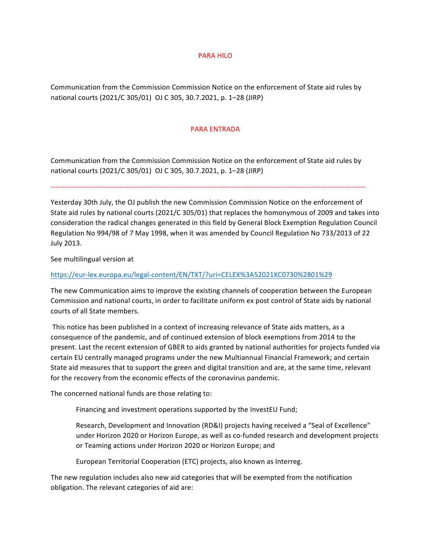## **PARA HILO**

Communication from the Commission Commission Notice on the enforcement of State aid rules by national courts (2021/C 305/01) OJ C 305, 30.7.2021, p. 1-28 (JIRP)

## PARA ENTRADA

Communication from the Commission Commission Notice on the enforcement of State aid rules by national courts (2021/C 305/01) OJ C 305, 30.7.2021, p. 1-28 (JIRP)

-------------------------------------------------------------------------------------------------------------------------------------

Yesterday 30th July, the OJ publish the new Commission Commission Notice on the enforcement of State aid rules by national courts (2021/C 305/01) that replaces the homonymous of 2009 and takes into consideration the radical changes generated in this field by General Block Exemption Regulation Council Regulation No 994/98 of 7 May 1998, when it was amended by Council Regulation No 733/2013 of 22 July 2013.

See multilingual version at

## https://eur-lex.europa.eu/legal-content/EN/TXT/?uri=CELEX%3A52021XC0730%2801%29

The new Communication aims to improve the existing channels of cooperation between the European Commission and national courts, in order to facilitate uniform ex post control of State aids by national courts of all State members.

This notice has been published in a context of increasing relevance of State aids matters, as a consequence of the pandemic, and of continued extension of block exemptions from 2014 to the present. Last the recent extension of GBER to aids granted by national authorities for projects funded via certain EU centrally managed programs under the new Multiannual Financial Framework; and certain State aid measures that to support the green and digital transition and are, at the same time, relevant for the recovery from the economic effects of the coronavirus pandemic.

The concerned national funds are those relating to:

Financing and investment operations supported by the InvestEU Fund;

Research, Development and Innovation (RD&I) projects having received a "Seal of Excellence" under Horizon 2020 or Horizon Europe, as well as co-funded research and development projects or Teaming actions under Horizon 2020 or Horizon Europe; and

European Territorial Cooperation (ETC) projects, also known as Interreg.

The new regulation includes also new aid categories that will be exempted from the notification obligation. The relevant categories of aid are: